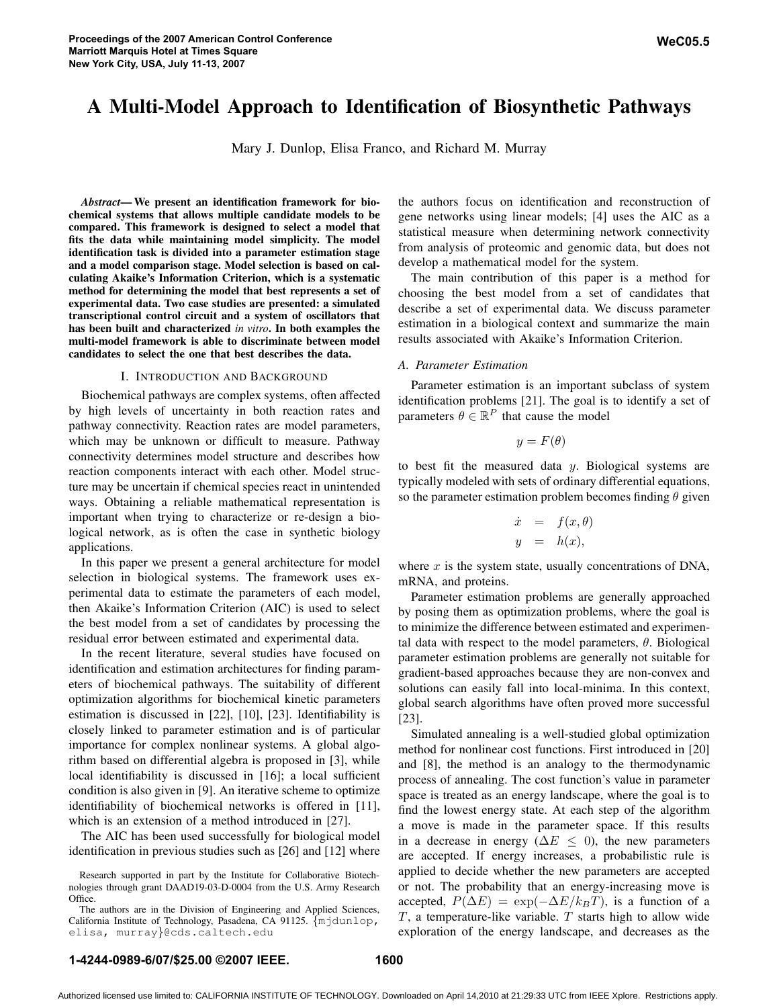# **A Multi-Model Approach to Identification of Biosynthetic Pathways**

Mary J. Dunlop, Elisa Franco, and Richard M. Murray

*Abstract***— We present an identification framework for biochemical systems that allows multiple candidate models to be compared. This framework is designed to select a model that fits the data while maintaining model simplicity. The model identification task is divided into a parameter estimation stage and a model comparison stage. Model selection is based on calculating Akaike's Information Criterion, which is a systematic method for determining the model that best represents a set of experimental data. Two case studies are presented: a simulated transcriptional control circuit and a system of oscillators that has been built and characterized** *in vitro***. In both examples the multi-model framework is able to discriminate between model candidates to select the one that best describes the data.**

#### I. INTRODUCTION AND BACKGROUND

Biochemical pathways are complex systems, often affected by high levels of uncertainty in both reaction rates and pathway connectivity. Reaction rates are model parameters, which may be unknown or difficult to measure. Pathway connectivity determines model structure and describes how reaction components interact with each other. Model structure may be uncertain if chemical species react in unintended ways. Obtaining a reliable mathematical representation is important when trying to characterize or re-design a biological network, as is often the case in synthetic biology applications.

In this paper we present a general architecture for model selection in biological systems. The framework uses experimental data to estimate the parameters of each model, then Akaike's Information Criterion (AIC) is used to select the best model from a set of candidates by processing the residual error between estimated and experimental data.

In the recent literature, several studies have focused on identification and estimation architectures for finding parameters of biochemical pathways. The suitability of different optimization algorithms for biochemical kinetic parameters estimation is discussed in [22], [10], [23]. Identifiability is closely linked to parameter estimation and is of particular importance for complex nonlinear systems. A global algorithm based on differential algebra is proposed in [3], while local identifiability is discussed in [16]; a local sufficient condition is also given in [9]. An iterative scheme to optimize identifiability of biochemical networks is offered in [11], which is an extension of a method introduced in [27].

The AIC has been used successfully for biological model identification in previous studies such as [26] and [12] where the authors focus on identification and reconstruction of gene networks using linear models; [4] uses the AIC as a statistical measure when determining network connectivity from analysis of proteomic and genomic data, but does not develop a mathematical model for the system.

The main contribution of this paper is a method for choosing the best model from a set of candidates that describe a set of experimental data. We discuss parameter estimation in a biological context and summarize the main results associated with Akaike's Information Criterion.

## *A. Parameter Estimation*

Parameter estimation is an important subclass of system identification problems [21]. The goal is to identify a set of parameters  $\theta \in \mathbb{R}^P$  that cause the model

$$
y = F(\theta)
$$

to best fit the measured data  $y$ . Biological systems are typically modeled with sets of ordinary differential equations, so the parameter estimation problem becomes finding  $\theta$  given

$$
\dot{x} = f(x, \theta)
$$
  

$$
y = h(x),
$$

where  $x$  is the system state, usually concentrations of DNA, mRNA, and proteins.

Parameter estimation problems are generally approached by posing them as optimization problems, where the goal is to minimize the difference between estimated and experimental data with respect to the model parameters,  $\theta$ . Biological parameter estimation problems are generally not suitable for gradient-based approaches because they are non-convex and solutions can easily fall into local-minima. In this context, global search algorithms have often proved more successful [23].

Simulated annealing is a well-studied global optimization method for nonlinear cost functions. First introduced in [20] and [8], the method is an analogy to the thermodynamic process of annealing. The cost function's value in parameter space is treated as an energy landscape, where the goal is to find the lowest energy state. At each step of the algorithm a move is made in the parameter space. If this results in a decrease in energy ( $\Delta E \leq 0$ ), the new parameters are accepted. If energy increases, a probabilistic rule is applied to decide whether the new parameters are accepted or not. The probability that an energy-increasing move is accepted,  $P(\Delta E) = \exp(-\Delta E / k_B T)$ , is a function of a  $T$ , a temperature-like variable.  $T$  starts high to allow wide exploration of the energy landscape, and decreases as the

#### **1-4244-0989-6/07/\$25.00 ©2007 IEEE. 1600**

Research supported in part by the Institute for Collaborative Biotechnologies through grant DAAD19-03-D-0004 from the U.S. Army Research Office.

The authors are in the Division of Engineering and Applied Sciences, California Institute of Technology, Pasadena, CA 91125. {mjdunlop, elisa, murray}@cds.caltech.edu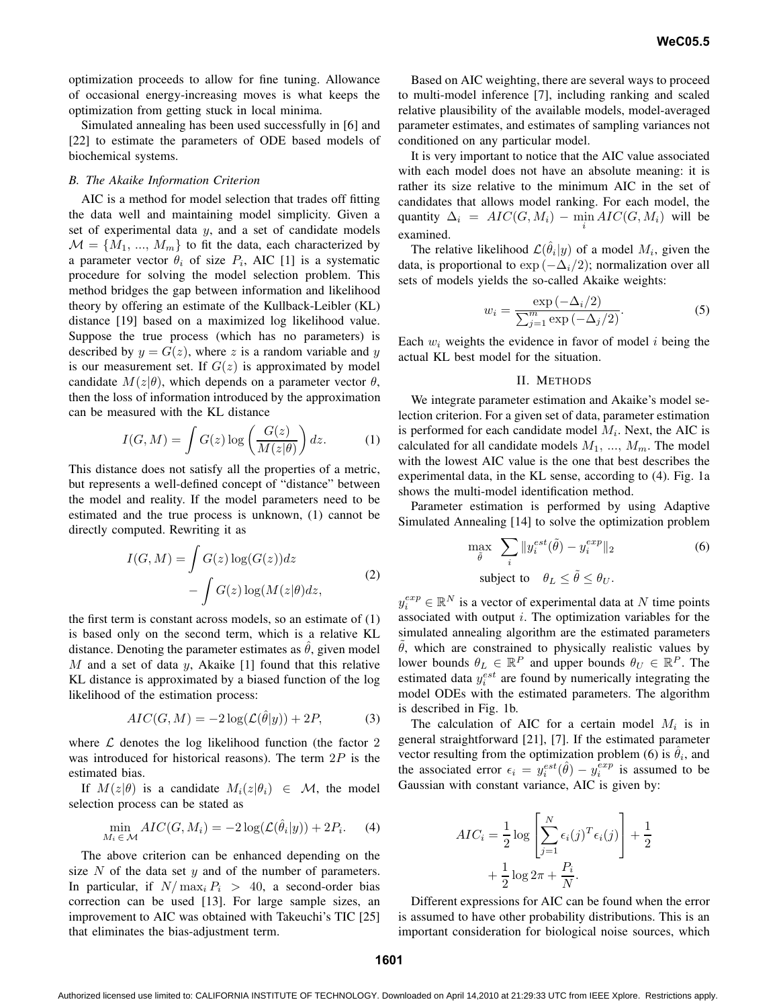optimization proceeds to allow for fine tuning. Allowance of occasional energy-increasing moves is what keeps the optimization from getting stuck in local minima.

Simulated annealing has been used successfully in [6] and [22] to estimate the parameters of ODE based models of biochemical systems.

## *B. The Akaike Information Criterion*

AIC is a method for model selection that trades off fitting the data well and maintaining model simplicity. Given a set of experimental data y, and a set of candidate models  $\mathcal{M} = \{M_1, ..., M_m\}$  to fit the data, each characterized by a parameter vector  $\theta_i$  of size  $P_i$ , AIC [1] is a systematic procedure for solving the model selection problem. This method bridges the gap between information and likelihood theory by offering an estimate of the Kullback-Leibler (KL) distance [19] based on a maximized log likelihood value. Suppose the true process (which has no parameters) is described by  $y = G(z)$ , where z is a random variable and y is our measurement set. If  $G(z)$  is approximated by model candidate  $M(z|\theta)$ , which depends on a parameter vector  $\theta$ , then the loss of information introduced by the approximation can be measured with the KL distance

$$
I(G, M) = \int G(z) \log \left( \frac{G(z)}{M(z|\theta)} \right) dz.
$$
 (1)

This distance does not satisfy all the properties of a metric, but represents a well-defined concept of "distance" between the model and reality. If the model parameters need to be estimated and the true process is unknown, (1) cannot be directly computed. Rewriting it as

$$
I(G, M) = \int G(z) \log(G(z)) dz
$$
  
- 
$$
\int G(z) \log(M(z|\theta)) dz,
$$
 (2)

the first term is constant across models, so an estimate of (1) is based only on the second term, which is a relative KL distance. Denoting the parameter estimates as  $\hat{\theta}$ , given model M and a set of data y, Akaike [1] found that this relative KL distance is approximated by a biased function of the log likelihood of the estimation process:

$$
AIC(G, M) = -2\log(\mathcal{L}(\hat{\theta}|y)) + 2P,
$$
 (3)

where  $\mathcal L$  denotes the log likelihood function (the factor 2 was introduced for historical reasons). The term  $2P$  is the estimated bias.

If  $M(z|\theta)$  is a candidate  $M_i(z|\theta_i) \in \mathcal{M}$ , the model selection process can be stated as

$$
\min_{M_i \in \mathcal{M}} AIC(G, M_i) = -2\log(\mathcal{L}(\hat{\theta}_i|y)) + 2P_i.
$$
 (4)

The above criterion can be enhanced depending on the size  $N$  of the data set  $y$  and of the number of parameters. In particular, if  $N/\max_i P_i > 40$ , a second-order bias correction can be used [13]. For large sample sizes, an improvement to AIC was obtained with Takeuchi's TIC [25] that eliminates the bias-adjustment term.

Based on AIC weighting, there are several ways to proceed to multi-model inference [7], including ranking and scaled relative plausibility of the available models, model-averaged parameter estimates, and estimates of sampling variances not conditioned on any particular model.

It is very important to notice that the AIC value associated with each model does not have an absolute meaning: it is rather its size relative to the minimum AIC in the set of candidates that allows model ranking. For each model, the quantity  $\Delta_i = AIC(G, M_i) - \min_i AIC(G, M_i)$  will be examined.

The relative likelihood  $\mathcal{L}(\hat{\theta}_i|y)$  of a model  $M_i$ , given the data, is proportional to  $\exp(-\Delta_i/2)$ ; normalization over all sets of models yields the so-called Akaike weights:

$$
w_i = \frac{\exp\left(-\Delta_i/2\right)}{\sum_{j=1}^m \exp\left(-\Delta_j/2\right)}.\tag{5}
$$

Each  $w_i$  weights the evidence in favor of model i being the actual KL best model for the situation.

## II. METHODS

We integrate parameter estimation and Akaike's model selection criterion. For a given set of data, parameter estimation is performed for each candidate model  $M_i$ . Next, the AIC is calculated for all candidate models  $M_1, ..., M_m$ . The model with the lowest AIC value is the one that best describes the experimental data, in the KL sense, according to (4). Fig. 1a shows the multi-model identification method.

Parameter estimation is performed by using Adaptive Simulated Annealing [14] to solve the optimization problem

$$
\max_{\tilde{\theta}} \sum_{i} \|y_i^{est}(\tilde{\theta}) - y_i^{exp}\|_2
$$
\n(6)

\nsubject to  $\theta_L \leq \tilde{\theta} \leq \theta_U$ .

 $y_i^{exp} \in \mathbb{R}^N$  is a vector of experimental data at N time points associated with output  $i$ . The optimization variables for the simulated annealing algorithm are the estimated parameters  $\tilde{\theta}$ , which are constrained to physically realistic values by lower bounds  $\theta_L \in \mathbb{R}^P$  and upper bounds  $\theta_U \in \mathbb{R}^P$ . The estimated data  $y_i^{est}$  are found by numerically integrating the model ODEs with the estimated parameters. The algorithm is described in Fig. 1b.

The calculation of AIC for a certain model  $M_i$  is in general straightforward [21], [7]. If the estimated parameter vector resulting from the optimization problem (6) is  $\hat{\theta}_i$ , and the associated error  $\epsilon_i = y_i^{est}(\hat{\theta}) - y_i^{exp}$  is assumed to be Gaussian with constant variance, AIC is given by:

$$
AIC_i = \frac{1}{2} \log \left[ \sum_{j=1}^{N} \epsilon_i(j)^T \epsilon_i(j) \right] + \frac{1}{2}
$$

$$
+ \frac{1}{2} \log 2\pi + \frac{P_i}{N}.
$$

Different expressions for AIC can be found when the error is assumed to have other probability distributions. This is an important consideration for biological noise sources, which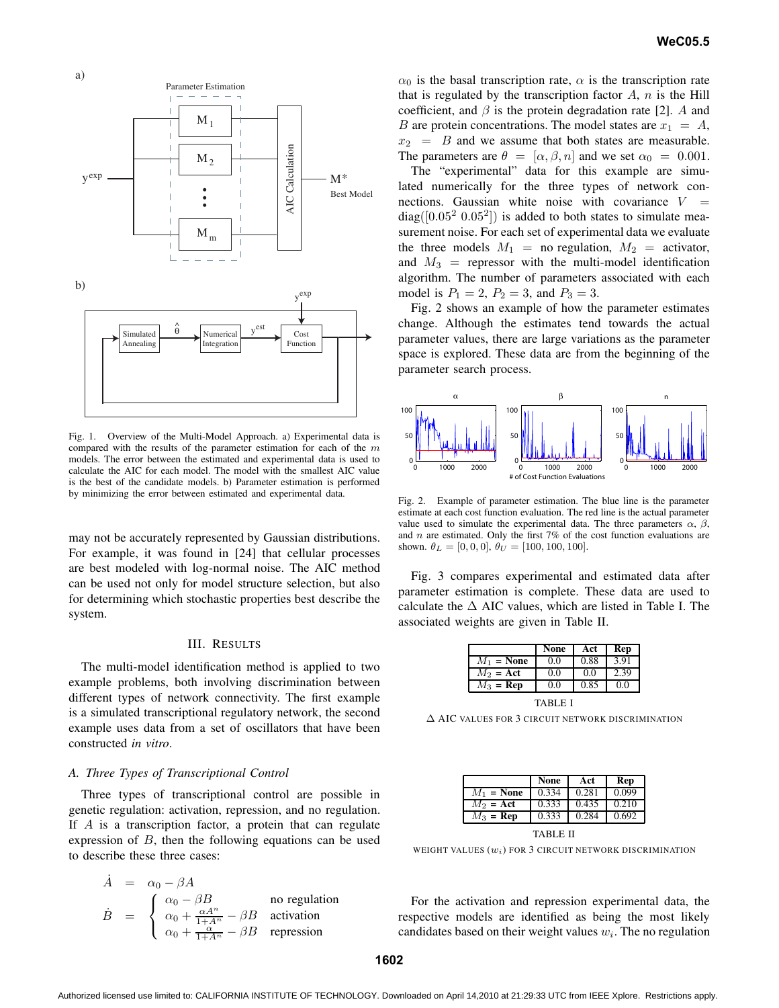

Fig. 1. Overview of the Multi-Model Approach. a) Experimental data is compared with the results of the parameter estimation for each of the  $m$ models. The error between the estimated and experimental data is used to calculate the AIC for each model. The model with the smallest AIC value is the best of the candidate models. b) Parameter estimation is performed by minimizing the error between estimated and experimental data.

may not be accurately represented by Gaussian distributions. For example, it was found in [24] that cellular processes are best modeled with log-normal noise. The AIC method can be used not only for model structure selection, but also for determining which stochastic properties best describe the system.

#### III. RESULTS

The multi-model identification method is applied to two example problems, both involving discrimination between different types of network connectivity. The first example is a simulated transcriptional regulatory network, the second example uses data from a set of oscillators that have been constructed *in vitro*.

#### *A. Three Types of Transcriptional Control*

Three types of transcriptional control are possible in genetic regulation: activation, repression, and no regulation. If  $A$  is a transcription factor, a protein that can regulate expression of  $B$ , then the following equations can be used to describe these three cases:

$$
\dot{A} = \alpha_0 - \beta A
$$
  
\n
$$
\dot{B} = \begin{cases}\n\alpha_0 - \beta B & \text{no regulation} \\
\alpha_0 + \frac{\alpha A^n}{1 + A^n} - \beta B & \text{activation} \\
\alpha_0 + \frac{\alpha}{1 + A^n} - \beta B & \text{repression}\n\end{cases}
$$

 $\alpha_0$  is the basal transcription rate,  $\alpha$  is the transcription rate that is regulated by the transcription factor  $A$ ,  $n$  is the Hill coefficient, and  $\beta$  is the protein degradation rate [2]. A and B are protein concentrations. The model states are  $x_1 = A$ ,  $x_2 = B$  and we assume that both states are measurable. The parameters are  $\theta = [\alpha, \beta, n]$  and we set  $\alpha_0 = 0.001$ .

The "experimental" data for this example are simulated numerically for the three types of network connections. Gaussian white noise with covariance  $V$ diag( $[0.05^2 \ 0.05^2]$ ) is added to both states to simulate measurement noise. For each set of experimental data we evaluate the three models  $M_1$  = no regulation,  $M_2$  = activator, and  $M_3$  = repressor with the multi-model identification algorithm. The number of parameters associated with each model is  $P_1 = 2$ ,  $P_2 = 3$ , and  $P_3 = 3$ .

Fig. 2 shows an example of how the parameter estimates change. Although the estimates tend towards the actual parameter values, there are large variations as the parameter space is explored. These data are from the beginning of the parameter search process.



Fig. 2. Example of parameter estimation. The blue line is the parameter estimate at each cost function evaluation. The red line is the actual parameter value used to simulate the experimental data. The three parameters  $\alpha$ ,  $\beta$ , and  $n$  are estimated. Only the first 7% of the cost function evaluations are shown.  $\theta_L = [0, 0, 0], \theta_U = [100, 100, 100].$ 

Fig. 3 compares experimental and estimated data after parameter estimation is complete. These data are used to calculate the  $\Delta$  AIC values, which are listed in Table I. The associated weights are given in Table II.

|              | <b>None</b> | Act  | Rep  |  |  |
|--------------|-------------|------|------|--|--|
| $M_1$ = None | 0.0         | 0.88 | 3.91 |  |  |
| $M_2$ = Act  | 0.0         | 0.0  | 2.39 |  |  |
| $M_3$ = Rep  | 0.0         | 0.85 | 0.0  |  |  |
| ABLE.        |             |      |      |  |  |

∆ AIC VALUES FOR 3 CIRCUIT NETWORK DISCRIMINATION

|              | None  | Act   | Rep   |  |
|--------------|-------|-------|-------|--|
| $M_1$ = None | 0.334 | 0.281 | 0.099 |  |
| $M_2$ = Act  | 0.333 | 0.435 | 0.210 |  |
| $M_3$ = Rep  | 0.333 | 0.284 | 0.692 |  |
| TABLE II     |       |       |       |  |

WEIGHT VALUES  $(w_i)$  FOR 3 CIRCUIT NETWORK DISCRIMINATION

For the activation and repression experimental data, the respective models are identified as being the most likely candidates based on their weight values  $w_i$ . The no regulation

**1602**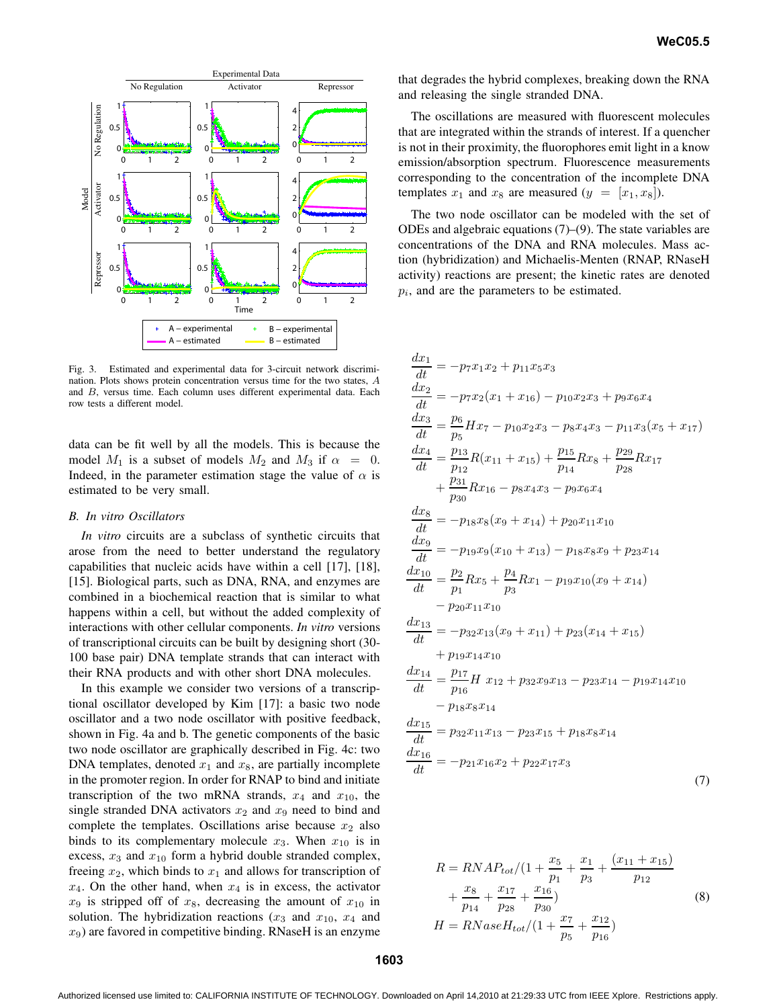

Fig. 3. Estimated and experimental data for 3-circuit network discrimination. Plots shows protein concentration versus time for the two states, A and B, versus time. Each column uses different experimental data. Each row tests a different model.

data can be fit well by all the models. This is because the model  $M_1$  is a subset of models  $M_2$  and  $M_3$  if  $\alpha = 0$ . Indeed, in the parameter estimation stage the value of  $\alpha$  is estimated to be very small.

#### *B. In vitro Oscillators*

*In vitro* circuits are a subclass of synthetic circuits that arose from the need to better understand the regulatory capabilities that nucleic acids have within a cell [17], [18], [15]. Biological parts, such as DNA, RNA, and enzymes are combined in a biochemical reaction that is similar to what happens within a cell, but without the added complexity of interactions with other cellular components. *In vitro* versions of transcriptional circuits can be built by designing short (30- 100 base pair) DNA template strands that can interact with their RNA products and with other short DNA molecules.

In this example we consider two versions of a transcriptional oscillator developed by Kim [17]: a basic two node oscillator and a two node oscillator with positive feedback, shown in Fig. 4a and b. The genetic components of the basic two node oscillator are graphically described in Fig. 4c: two DNA templates, denoted  $x_1$  and  $x_8$ , are partially incomplete in the promoter region. In order for RNAP to bind and initiate transcription of the two mRNA strands,  $x_4$  and  $x_{10}$ , the single stranded DNA activators  $x_2$  and  $x_9$  need to bind and complete the templates. Oscillations arise because  $x_2$  also binds to its complementary molecule  $x_3$ . When  $x_{10}$  is in excess,  $x_3$  and  $x_{10}$  form a hybrid double stranded complex, freeing  $x_2$ , which binds to  $x_1$  and allows for transcription of  $x_4$ . On the other hand, when  $x_4$  is in excess, the activator  $x_9$  is stripped off of  $x_8$ , decreasing the amount of  $x_{10}$  in solution. The hybridization reactions  $(x_3 \text{ and } x_{10}, x_4 \text{ and } x_{11})$  $x_9$ ) are favored in competitive binding. RNaseH is an enzyme that degrades the hybrid complexes, breaking down the RNA and releasing the single stranded DNA.

The oscillations are measured with fluorescent molecules that are integrated within the strands of interest. If a quencher is not in their proximity, the fluorophores emit light in a know emission/absorption spectrum. Fluorescence measurements corresponding to the concentration of the incomplete DNA templates  $x_1$  and  $x_8$  are measured  $(y = [x_1, x_8])$ .

The two node oscillator can be modeled with the set of ODEs and algebraic equations (7)–(9). The state variables are concentrations of the DNA and RNA molecules. Mass action (hybridization) and Michaelis-Menten (RNAP, RNaseH activity) reactions are present; the kinetic rates are denoted  $p_i$ , and are the parameters to be estimated.

$$
\frac{dx_1}{dt} = -p_7x_1x_2 + p_{11}x_5x_3
$$
\n
$$
\frac{dx_2}{dt} = -p_7x_2(x_1 + x_{16}) - p_{10}x_2x_3 + p_9x_6x_4
$$
\n
$$
\frac{dx_3}{dt} = \frac{p_6}{p_5}Hx_7 - p_{10}x_2x_3 - p_8x_4x_3 - p_{11}x_3(x_5 + x_{17})
$$
\n
$$
\frac{dx_4}{dt} = \frac{p_{13}}{p_{12}}R(x_{11} + x_{15}) + \frac{p_{15}}{p_{14}}Rx_8 + \frac{p_{29}}{p_{28}}Rx_{17}
$$
\n
$$
+ \frac{p_{31}}{p_{30}}Rx_{16} - p_8x_4x_3 - p_9x_6x_4
$$
\n
$$
\frac{dx_8}{dt} = -p_{18}x_8(x_9 + x_{14}) + p_{20}x_{11}x_{10}
$$
\n
$$
\frac{dx_9}{dt} = -p_{19}x_9(x_{10} + x_{13}) - p_{18}x_8x_9 + p_{23}x_{14}
$$
\n
$$
\frac{dx_{10}}{dt} = \frac{p_2}{p_1}Rx_5 + \frac{p_4}{p_3}Rx_1 - p_{19}x_{10}(x_9 + x_{14})
$$
\n
$$
- p_{20}x_{11}x_{10}
$$
\n
$$
\frac{dx_{13}}{dt} = -p_{32}x_{13}(x_9 + x_{11}) + p_{23}(x_{14} + x_{15})
$$
\n
$$
+ p_{19}x_{14}x_{10}
$$
\n
$$
\frac{dx_{14}}{dt} = \frac{p_{17}}{p_{16}}H x_{12} + p_{32}x_{9}x_{13} - p_{23}x_{14} - p_{19}x_{14}x_{10}
$$
\n
$$
- p_{18}x_8x_{14}
$$
\n
$$
\frac{dx_{15}}{dt} = p_{32}x_{11}x_{13} - p_{23}x_{15} + p_{18}x_8x_{14}
$$
\n<math display="block</math>

$$
R = RNAP_{tot}/(1 + \frac{x_5}{p_1} + \frac{x_1}{p_3} + \frac{(x_{11} + x_{15})}{p_{12}} + \frac{x_8}{p_{14}} + \frac{x_{17}}{p_{28}} + \frac{x_{16}}{p_{30}})
$$
  
\n
$$
H = RNaseH_{tot}/(1 + \frac{x_7}{p_5} + \frac{x_{12}}{p_{16}})
$$
\n(8)

**1603**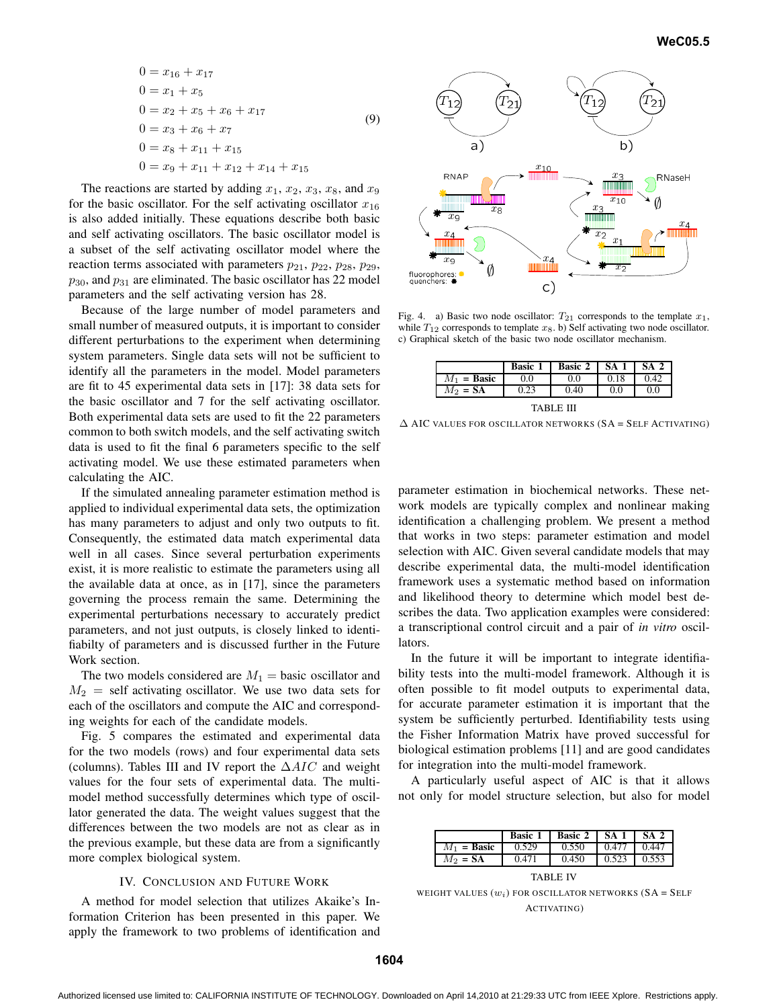$$
0 = x_{16} + x_{17}
$$
  
\n
$$
0 = x_1 + x_5
$$
  
\n
$$
0 = x_2 + x_5 + x_6 + x_{17}
$$
  
\n
$$
0 = x_3 + x_6 + x_7
$$
  
\n
$$
0 = x_8 + x_{11} + x_{15}
$$
  
\n
$$
0 = x_9 + x_{11} + x_{12} + x_{14} + x_{15}
$$
  
\n(9)

The reactions are started by adding  $x_1$ ,  $x_2$ ,  $x_3$ ,  $x_8$ , and  $x_9$ for the basic oscillator. For the self activating oscillator  $x_{16}$ is also added initially. These equations describe both basic and self activating oscillators. The basic oscillator model is a subset of the self activating oscillator model where the reaction terms associated with parameters  $p_{21}$ ,  $p_{22}$ ,  $p_{28}$ ,  $p_{29}$ ,  $p_{30}$ , and  $p_{31}$  are eliminated. The basic oscillator has 22 model parameters and the self activating version has 28.

Because of the large number of model parameters and small number of measured outputs, it is important to consider different perturbations to the experiment when determining system parameters. Single data sets will not be sufficient to identify all the parameters in the model. Model parameters are fit to 45 experimental data sets in [17]: 38 data sets for the basic oscillator and 7 for the self activating oscillator. Both experimental data sets are used to fit the 22 parameters common to both switch models, and the self activating switch data is used to fit the final 6 parameters specific to the self activating model. We use these estimated parameters when calculating the AIC.

If the simulated annealing parameter estimation method is applied to individual experimental data sets, the optimization has many parameters to adjust and only two outputs to fit. Consequently, the estimated data match experimental data well in all cases. Since several perturbation experiments exist, it is more realistic to estimate the parameters using all the available data at once, as in [17], since the parameters governing the process remain the same. Determining the experimental perturbations necessary to accurately predict parameters, and not just outputs, is closely linked to identifiabilty of parameters and is discussed further in the Future Work section.

The two models considered are  $M_1$  = basic oscillator and  $M_2$  = self activating oscillator. We use two data sets for each of the oscillators and compute the AIC and corresponding weights for each of the candidate models.

Fig. 5 compares the estimated and experimental data for the two models (rows) and four experimental data sets (columns). Tables III and IV report the  $\Delta AIC$  and weight values for the four sets of experimental data. The multimodel method successfully determines which type of oscillator generated the data. The weight values suggest that the differences between the two models are not as clear as in the previous example, but these data are from a significantly more complex biological system.

## IV. CONCLUSION AND FUTURE WORK

A method for model selection that utilizes Akaike's Information Criterion has been presented in this paper. We apply the framework to two problems of identification and



Fig. 4. a) Basic two node oscillator:  $T_{21}$  corresponds to the template  $x_1$ , while  $T_{12}$  corresponds to template  $x_8$ . b) Self activating two node oscillator. c) Graphical sketch of the basic two node oscillator mechanism.

|               | Basic 1 1 | Basic 2   SA 1 |      | SA <sub>2</sub> |
|---------------|-----------|----------------|------|-----------------|
| $M_1$ = Basic | 9.0       | $0.0^{\circ}$  | 0.18 | 0.42            |
| $M_2$ = SA    | 0.23      | 0.40           | 0.0  | 9.0             |
| TARI E III    |           |                |      |                 |

∆ AIC VALUES FOR OSCILLATOR NETWORKS (SA = SELF ACTIVATING)

parameter estimation in biochemical networks. These network models are typically complex and nonlinear making identification a challenging problem. We present a method that works in two steps: parameter estimation and model selection with AIC. Given several candidate models that may describe experimental data, the multi-model identification framework uses a systematic method based on information and likelihood theory to determine which model best describes the data. Two application examples were considered: a transcriptional control circuit and a pair of *in vitro* oscillators.

In the future it will be important to integrate identifiability tests into the multi-model framework. Although it is often possible to fit model outputs to experimental data, for accurate parameter estimation it is important that the system be sufficiently perturbed. Identifiability tests using the Fisher Information Matrix have proved successful for biological estimation problems [11] and are good candidates for integration into the multi-model framework.

A particularly useful aspect of AIC is that it allows not only for model structure selection, but also for model

|               |       | Basic 1   Basic 2   SA 1 |       | SA <sub>2</sub> |
|---------------|-------|--------------------------|-------|-----------------|
| $M_1$ = Basic | 0.529 | 0.550                    | 0.477 | 0.447           |
| $M_2$ = SA    | 0.471 | 0.450                    | 0.523 | 0.553           |
|               |       |                          |       |                 |

TABLE IV

WEIGHT VALUES  $(w_i)$  FOR OSCILLATOR NETWORKS (SA = SELF ACTIVATING)

**1604**